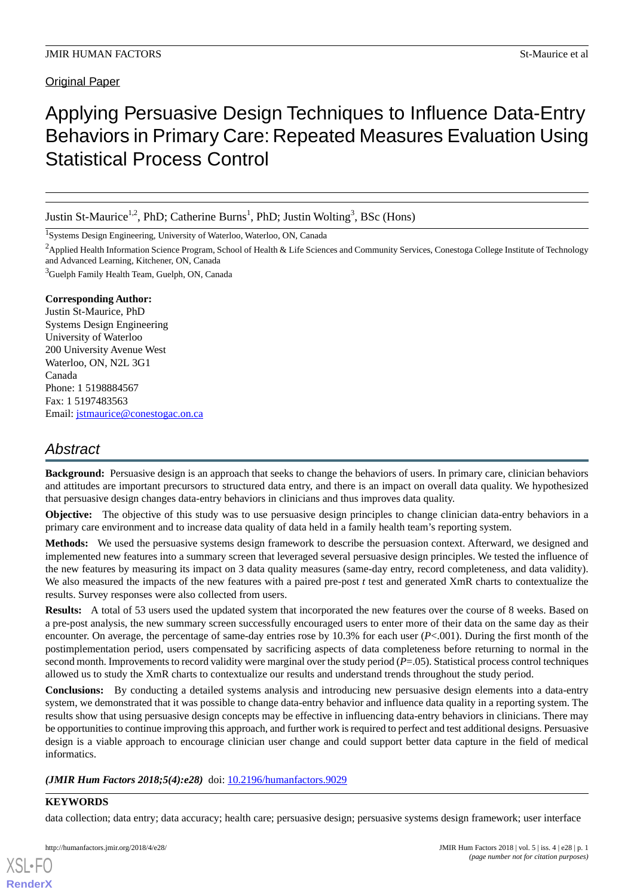# Applying Persuasive Design Techniques to Influence Data-Entry Behaviors in Primary Care: Repeated Measures Evaluation Using Statistical Process Control

Justin St-Maurice<sup>1,2</sup>, PhD; Catherine Burns<sup>1</sup>, PhD; Justin Wolting<sup>3</sup>, BSc (Hons)

<sup>1</sup>Systems Design Engineering, University of Waterloo, Waterloo, ON, Canada

<sup>2</sup> Applied Health Information Science Program, School of Health & Life Sciences and Community Services, Conestoga College Institute of Technology and Advanced Learning, Kitchener, ON, Canada

<sup>3</sup>Guelph Family Health Team, Guelph, ON, Canada

#### **Corresponding Author:**

Justin St-Maurice, PhD Systems Design Engineering University of Waterloo 200 University Avenue West Waterloo, ON, N2L 3G1 Canada Phone: 1 5198884567 Fax: 1 5197483563 Email: [jstmaurice@conestogac.on.ca](mailto:jstmaurice@conestogac.on.ca)

# *Abstract*

**Background:** Persuasive design is an approach that seeks to change the behaviors of users. In primary care, clinician behaviors and attitudes are important precursors to structured data entry, and there is an impact on overall data quality. We hypothesized that persuasive design changes data-entry behaviors in clinicians and thus improves data quality.

**Objective:** The objective of this study was to use persuasive design principles to change clinician data-entry behaviors in a primary care environment and to increase data quality of data held in a family health team's reporting system.

**Methods:** We used the persuasive systems design framework to describe the persuasion context. Afterward, we designed and implemented new features into a summary screen that leveraged several persuasive design principles. We tested the influence of the new features by measuring its impact on 3 data quality measures (same-day entry, record completeness, and data validity). We also measured the impacts of the new features with a paired pre-post *t* test and generated XmR charts to contextualize the results. Survey responses were also collected from users.

**Results:** A total of 53 users used the updated system that incorporated the new features over the course of 8 weeks. Based on a pre-post analysis, the new summary screen successfully encouraged users to enter more of their data on the same day as their encounter. On average, the percentage of same-day entries rose by 10.3% for each user (*P*<.001). During the first month of the postimplementation period, users compensated by sacrificing aspects of data completeness before returning to normal in the second month. Improvements to record validity were marginal over the study period (*P*=.05). Statistical process control techniques allowed us to study the XmR charts to contextualize our results and understand trends throughout the study period.

**Conclusions:** By conducting a detailed systems analysis and introducing new persuasive design elements into a data-entry system, we demonstrated that it was possible to change data-entry behavior and influence data quality in a reporting system. The results show that using persuasive design concepts may be effective in influencing data-entry behaviors in clinicians. There may be opportunities to continue improving this approach, and further work is required to perfect and test additional designs. Persuasive design is a viable approach to encourage clinician user change and could support better data capture in the field of medical informatics.

(JMIR Hum Factors 2018;5(4):e28) doi: [10.2196/humanfactors.9029](http://dx.doi.org/10.2196/humanfactors.9029)

## **KEYWORDS**

[XSL](http://www.w3.org/Style/XSL)•FO **[RenderX](http://www.renderx.com/)**

data collection; data entry; data accuracy; health care; persuasive design; persuasive systems design framework; user interface

http://humanfactors.jmir.org/2018/4/e28/ JMIR Hum Factors 2018 | vol. 5 | iss. 4 | e28 | p. 1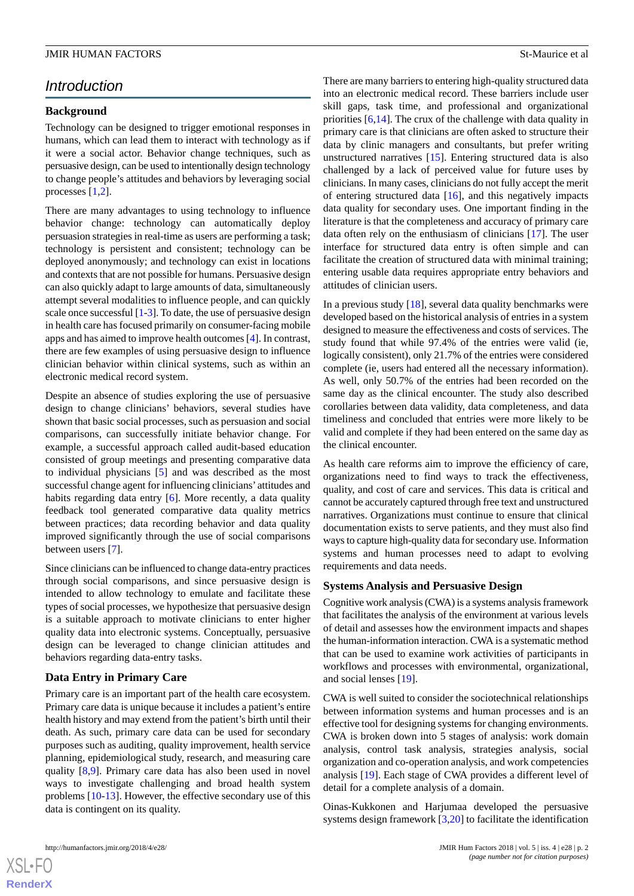# *Introduction*

## **Background**

Technology can be designed to trigger emotional responses in humans, which can lead them to interact with technology as if it were a social actor. Behavior change techniques, such as persuasive design, can be used to intentionally design technology to change people's attitudes and behaviors by leveraging social processes [[1,](#page-15-0)[2](#page-15-1)].

There are many advantages to using technology to influence behavior change: technology can automatically deploy persuasion strategies in real-time as users are performing a task; technology is persistent and consistent; technology can be deployed anonymously; and technology can exist in locations and contexts that are not possible for humans. Persuasive design can also quickly adapt to large amounts of data, simultaneously attempt several modalities to influence people, and can quickly scale once successful [\[1](#page-15-0)[-3](#page-15-2)]. To date, the use of persuasive design in health care has focused primarily on consumer-facing mobile apps and has aimed to improve health outcomes [[4\]](#page-15-3). In contrast, there are few examples of using persuasive design to influence clinician behavior within clinical systems, such as within an electronic medical record system.

Despite an absence of studies exploring the use of persuasive design to change clinicians' behaviors, several studies have shown that basic social processes, such as persuasion and social comparisons, can successfully initiate behavior change. For example, a successful approach called audit-based education consisted of group meetings and presenting comparative data to individual physicians [\[5](#page-15-4)] and was described as the most successful change agent for influencing clinicians' attitudes and habits regarding data entry [[6\]](#page-15-5). More recently, a data quality feedback tool generated comparative data quality metrics between practices; data recording behavior and data quality improved significantly through the use of social comparisons between users [[7\]](#page-15-6).

Since clinicians can be influenced to change data-entry practices through social comparisons, and since persuasive design is intended to allow technology to emulate and facilitate these types of social processes, we hypothesize that persuasive design is a suitable approach to motivate clinicians to enter higher quality data into electronic systems. Conceptually, persuasive design can be leveraged to change clinician attitudes and behaviors regarding data-entry tasks.

## **Data Entry in Primary Care**

Primary care is an important part of the health care ecosystem. Primary care data is unique because it includes a patient's entire health history and may extend from the patient's birth until their death. As such, primary care data can be used for secondary purposes such as auditing, quality improvement, health service planning, epidemiological study, research, and measuring care quality [\[8](#page-15-7),[9\]](#page-15-8). Primary care data has also been used in novel ways to investigate challenging and broad health system problems [\[10](#page-15-9)-[13\]](#page-15-10). However, the effective secondary use of this data is contingent on its quality.

There are many barriers to entering high-quality structured data into an electronic medical record. These barriers include user skill gaps, task time, and professional and organizational priorities [[6](#page-15-5)[,14](#page-16-0)]. The crux of the challenge with data quality in primary care is that clinicians are often asked to structure their data by clinic managers and consultants, but prefer writing unstructured narratives [[15\]](#page-16-1). Entering structured data is also challenged by a lack of perceived value for future uses by clinicians. In many cases, clinicians do not fully accept the merit of entering structured data  $[16]$  $[16]$ , and this negatively impacts data quality for secondary uses. One important finding in the literature is that the completeness and accuracy of primary care data often rely on the enthusiasm of clinicians [[17\]](#page-16-3). The user interface for structured data entry is often simple and can facilitate the creation of structured data with minimal training; entering usable data requires appropriate entry behaviors and attitudes of clinician users.

In a previous study  $[18]$  $[18]$ , several data quality benchmarks were developed based on the historical analysis of entries in a system designed to measure the effectiveness and costs of services. The study found that while 97.4% of the entries were valid (ie, logically consistent), only 21.7% of the entries were considered complete (ie, users had entered all the necessary information). As well, only 50.7% of the entries had been recorded on the same day as the clinical encounter. The study also described corollaries between data validity, data completeness, and data timeliness and concluded that entries were more likely to be valid and complete if they had been entered on the same day as the clinical encounter.

As health care reforms aim to improve the efficiency of care, organizations need to find ways to track the effectiveness, quality, and cost of care and services. This data is critical and cannot be accurately captured through free text and unstructured narratives. Organizations must continue to ensure that clinical documentation exists to serve patients, and they must also find ways to capture high-quality data for secondary use. Information systems and human processes need to adapt to evolving requirements and data needs.

#### **Systems Analysis and Persuasive Design**

Cognitive work analysis (CWA) is a systems analysis framework that facilitates the analysis of the environment at various levels of detail and assesses how the environment impacts and shapes the human-information interaction. CWA is a systematic method that can be used to examine work activities of participants in workflows and processes with environmental, organizational, and social lenses [[19\]](#page-16-5).

CWA is well suited to consider the sociotechnical relationships between information systems and human processes and is an effective tool for designing systems for changing environments. CWA is broken down into 5 stages of analysis: work domain analysis, control task analysis, strategies analysis, social organization and co-operation analysis, and work competencies analysis [[19\]](#page-16-5). Each stage of CWA provides a different level of detail for a complete analysis of a domain.

Oinas-Kukkonen and Harjumaa developed the persuasive systems design framework [[3](#page-15-2)[,20](#page-16-6)] to facilitate the identification

 $XS$  • FO **[RenderX](http://www.renderx.com/)**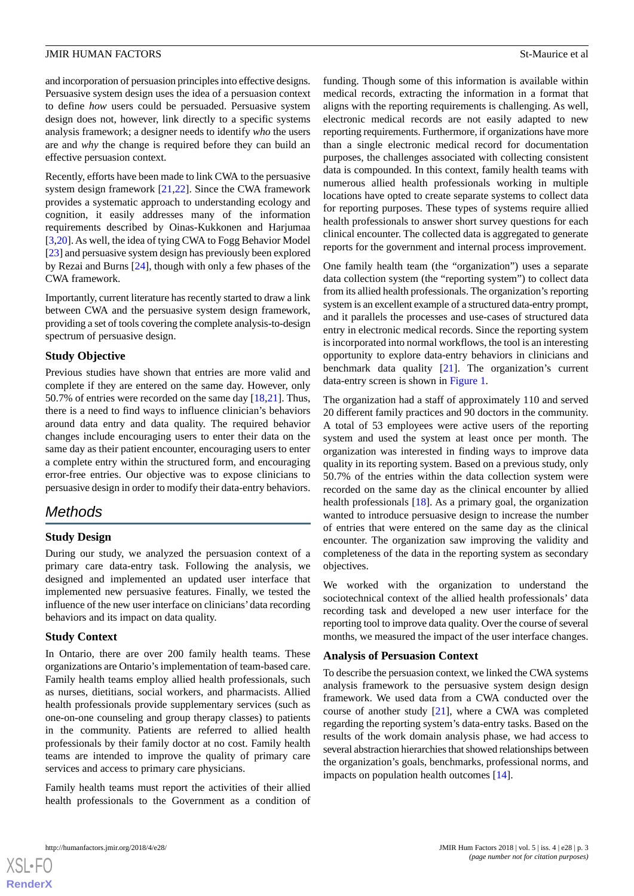and incorporation of persuasion principles into effective designs. Persuasive system design uses the idea of a persuasion context to define *how* users could be persuaded. Persuasive system design does not, however, link directly to a specific systems analysis framework; a designer needs to identify *who* the users are and *why* the change is required before they can build an effective persuasion context.

Recently, efforts have been made to link CWA to the persuasive system design framework [[21](#page-16-7)[,22](#page-16-8)]. Since the CWA framework provides a systematic approach to understanding ecology and cognition, it easily addresses many of the information requirements described by Oinas-Kukkonen and Harjumaa [[3](#page-15-2)[,20](#page-16-6)]. As well, the idea of tying CWA to Fogg Behavior Model [[23\]](#page-16-9) and persuasive system design has previously been explored by Rezai and Burns [[24\]](#page-16-10), though with only a few phases of the CWA framework.

Importantly, current literature has recently started to draw a link between CWA and the persuasive system design framework, providing a set of tools covering the complete analysis-to-design spectrum of persuasive design.

## **Study Objective**

Previous studies have shown that entries are more valid and complete if they are entered on the same day. However, only 50.7% of entries were recorded on the same day [[18,](#page-16-4)[21](#page-16-7)]. Thus, there is a need to find ways to influence clinician's behaviors around data entry and data quality. The required behavior changes include encouraging users to enter their data on the same day as their patient encounter, encouraging users to enter a complete entry within the structured form, and encouraging error-free entries. Our objective was to expose clinicians to persuasive design in order to modify their data-entry behaviors.

# *Methods*

## **Study Design**

During our study, we analyzed the persuasion context of a primary care data-entry task. Following the analysis, we designed and implemented an updated user interface that implemented new persuasive features. Finally, we tested the influence of the new user interface on clinicians' data recording behaviors and its impact on data quality.

#### **Study Context**

In Ontario, there are over 200 family health teams. These organizations are Ontario's implementation of team-based care. Family health teams employ allied health professionals, such as nurses, dietitians, social workers, and pharmacists. Allied health professionals provide supplementary services (such as one-on-one counseling and group therapy classes) to patients in the community. Patients are referred to allied health professionals by their family doctor at no cost. Family health teams are intended to improve the quality of primary care services and access to primary care physicians.

Family health teams must report the activities of their allied health professionals to the Government as a condition of funding. Though some of this information is available within medical records, extracting the information in a format that aligns with the reporting requirements is challenging. As well, electronic medical records are not easily adapted to new reporting requirements. Furthermore, if organizations have more than a single electronic medical record for documentation purposes, the challenges associated with collecting consistent data is compounded. In this context, family health teams with numerous allied health professionals working in multiple locations have opted to create separate systems to collect data for reporting purposes. These types of systems require allied health professionals to answer short survey questions for each clinical encounter. The collected data is aggregated to generate reports for the government and internal process improvement.

One family health team (the "organization") uses a separate data collection system (the "reporting system") to collect data from its allied health professionals. The organization's reporting system is an excellent example of a structured data-entry prompt, and it parallels the processes and use-cases of structured data entry in electronic medical records. Since the reporting system is incorporated into normal workflows, the tool is an interesting opportunity to explore data-entry behaviors in clinicians and benchmark data quality [\[21](#page-16-7)]. The organization's current data-entry screen is shown in [Figure 1](#page-3-0).

The organization had a staff of approximately 110 and served 20 different family practices and 90 doctors in the community. A total of 53 employees were active users of the reporting system and used the system at least once per month. The organization was interested in finding ways to improve data quality in its reporting system. Based on a previous study, only 50.7% of the entries within the data collection system were recorded on the same day as the clinical encounter by allied health professionals [\[18](#page-16-4)]. As a primary goal, the organization wanted to introduce persuasive design to increase the number of entries that were entered on the same day as the clinical encounter. The organization saw improving the validity and completeness of the data in the reporting system as secondary objectives.

We worked with the organization to understand the sociotechnical context of the allied health professionals' data recording task and developed a new user interface for the reporting tool to improve data quality. Over the course of several months, we measured the impact of the user interface changes.

### **Analysis of Persuasion Context**

To describe the persuasion context, we linked the CWA systems analysis framework to the persuasive system design design framework. We used data from a CWA conducted over the course of another study [[21\]](#page-16-7), where a CWA was completed regarding the reporting system's data-entry tasks. Based on the results of the work domain analysis phase, we had access to several abstraction hierarchies that showed relationships between the organization's goals, benchmarks, professional norms, and impacts on population health outcomes [\[14](#page-16-0)].

 $XS$ -FO **[RenderX](http://www.renderx.com/)**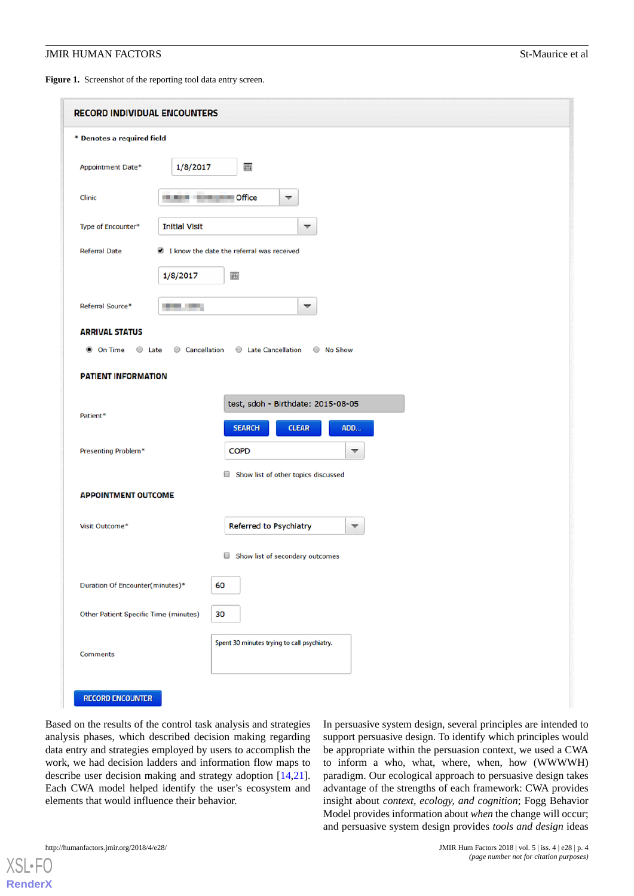#### **JMIR HUMAN FACTORS** Stemming the stemming of the stemming stemming of the stemming stemming stemming stemming stemming of all the stemming stemming stemming stemming stemming stemming stemming stemming stemming stemming s

<span id="page-3-0"></span>Figure 1. Screenshot of the reporting tool data entry screen.

| <b>RECORD INDIVIDUAL ENCOUNTERS</b>          |                                               |  |
|----------------------------------------------|-----------------------------------------------|--|
| * Denotes a required field                   |                                               |  |
| Appointment Date*<br>1/8/2017                | 囲                                             |  |
| Clinic                                       | <b>IRLAND BY AN ARTICLE Office</b><br>▼       |  |
| Type of Encounter*<br><b>Initial Visit</b>   | ▼                                             |  |
| <b>Referral Date</b>                         | I know the date the referral was received     |  |
| 1/8/2017                                     | $\blacksquare$                                |  |
| Referral Source*<br>.                        | $\overline{\phantom{0}}$                      |  |
| <b>ARRIVAL STATUS</b>                        |                                               |  |
| <b>O</b> On Time<br>$\circ$ Late             | Cancellation<br>C Late Cancellation C No Show |  |
| <b>PATIENT INFORMATION</b>                   |                                               |  |
|                                              | test, sdoh - Birthdate: 2015-08-05            |  |
| Patient*                                     | <b>SEARCH</b><br>ADD<br><b>CLEAR</b>          |  |
| Presenting Problem*                          | <b>COPD</b><br>▼                              |  |
|                                              | Show list of other topics discussed           |  |
| <b>APPOINTMENT OUTCOME</b>                   |                                               |  |
| Visit Outcome*                               | Referred to Psychiatry<br>▼                   |  |
|                                              | Show list of secondary outcomes               |  |
| Duration Of Encounter(minutes)*              | 60                                            |  |
| <b>Other Patient Specific Time (minutes)</b> | 30                                            |  |
| <b>Comments</b>                              | Spent 30 minutes trying to call psychiatry.   |  |
| <b>RECORD ENCOUNTER</b>                      |                                               |  |

Based on the results of the control task analysis and strategies analysis phases, which described decision making regarding data entry and strategies employed by users to accomplish the work, we had decision ladders and information flow maps to describe user decision making and strategy adoption [\[14](#page-16-0),[21\]](#page-16-7). Each CWA model helped identify the user's ecosystem and elements that would influence their behavior.

In persuasive system design, several principles are intended to support persuasive design. To identify which principles would be appropriate within the persuasion context, we used a CWA to inform a who, what, where, when, how (WWWWH) paradigm. Our ecological approach to persuasive design takes advantage of the strengths of each framework: CWA provides insight about *context, ecology, and cognition*; Fogg Behavior Model provides information about *when* the change will occur; and persuasive system design provides *tools and design* ideas

```
http://humanfactors.jmir.org/2018/4/e28/ JMIR Hum Factors 2018 | vol. 5 | iss. 4 | e28 | p. 4
```
 $X$ SI • FO **[RenderX](http://www.renderx.com/)**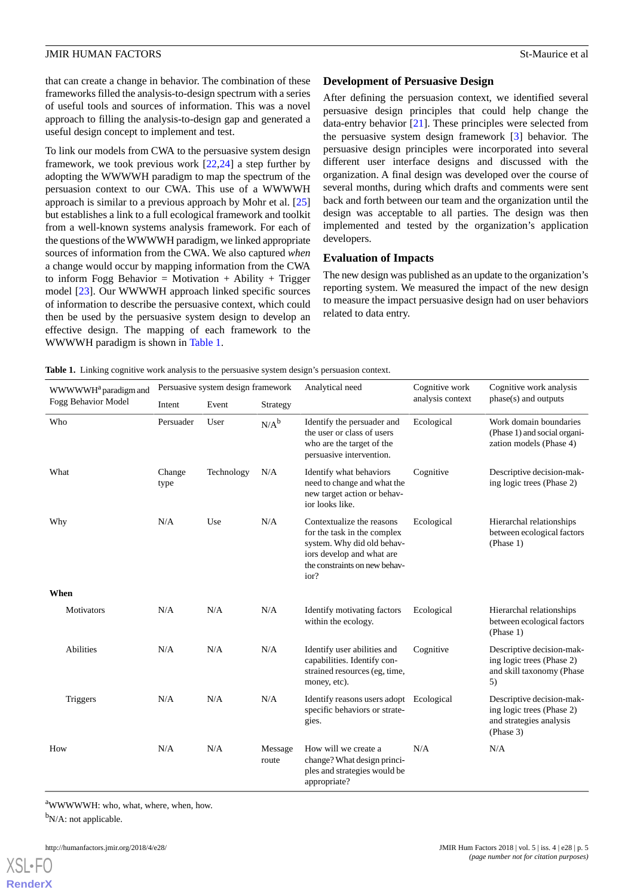that can create a change in behavior. The combination of these frameworks filled the analysis-to-design spectrum with a series of useful tools and sources of information. This was a novel approach to filling the analysis-to-design gap and generated a useful design concept to implement and test.

To link our models from CWA to the persuasive system design framework, we took previous work [[22](#page-16-8)[,24](#page-16-10)] a step further by adopting the WWWWH paradigm to map the spectrum of the persuasion context to our CWA. This use of a WWWWH approach is similar to a previous approach by Mohr et al. [\[25](#page-16-11)] but establishes a link to a full ecological framework and toolkit from a well-known systems analysis framework. For each of the questions of the WWWWH paradigm, we linked appropriate sources of information from the CWA. We also captured *when* a change would occur by mapping information from the CWA to inform Fogg Behavior = Motivation + Ability + Trigger model [\[23](#page-16-9)]. Our WWWWH approach linked specific sources of information to describe the persuasive context, which could then be used by the persuasive system design to develop an effective design. The mapping of each framework to the WWWWH paradigm is shown in [Table 1.](#page-4-0)

## **Development of Persuasive Design**

After defining the persuasion context, we identified several persuasive design principles that could help change the data-entry behavior [\[21](#page-16-7)]. These principles were selected from the persuasive system design framework [[3\]](#page-15-2) behavior. The persuasive design principles were incorporated into several different user interface designs and discussed with the organization. A final design was developed over the course of several months, during which drafts and comments were sent back and forth between our team and the organization until the design was acceptable to all parties. The design was then implemented and tested by the organization's application developers.

## **Evaluation of Impacts**

The new design was published as an update to the organization's reporting system. We measured the impact of the new design to measure the impact persuasive design had on user behaviors related to data entry.

<span id="page-4-0"></span>**Table 1.** Linking cognitive work analysis to the persuasive system design's persuasion context.

|                                 | Persuasive system design framework |            | Analytical need  | Cognitive work                                                                                                                                               | Cognitive work analysis |                                                                                                |
|---------------------------------|------------------------------------|------------|------------------|--------------------------------------------------------------------------------------------------------------------------------------------------------------|-------------------------|------------------------------------------------------------------------------------------------|
| WWWWH <sup>a</sup> paradigm and |                                    |            |                  |                                                                                                                                                              | analysis context        | phase(s) and outputs                                                                           |
| Fogg Behavior Model             | Intent                             | Event      | Strategy         |                                                                                                                                                              |                         |                                                                                                |
| Who                             | Persuader                          | User       | $N/A^b$          | Identify the persuader and<br>the user or class of users<br>who are the target of the<br>persuasive intervention.                                            | Ecological              | Work domain boundaries<br>(Phase 1) and social organi-<br>zation models (Phase 4)              |
| What                            | Change<br>type                     | Technology | N/A              | Identify what behaviors<br>need to change and what the<br>new target action or behav-<br>ior looks like.                                                     | Cognitive               | Descriptive decision-mak-<br>ing logic trees (Phase 2)                                         |
| Why                             | N/A                                | Use        | N/A              | Contextualize the reasons<br>for the task in the complex<br>system. Why did old behav-<br>iors develop and what are<br>the constraints on new behav-<br>ior? | Ecological              | Hierarchal relationships<br>between ecological factors<br>(Phase 1)                            |
| When                            |                                    |            |                  |                                                                                                                                                              |                         |                                                                                                |
| <b>Motivators</b>               | N/A                                | N/A        | N/A              | Identify motivating factors<br>within the ecology.                                                                                                           | Ecological              | Hierarchal relationships<br>between ecological factors<br>(Phase 1)                            |
| <b>Abilities</b>                | N/A                                | N/A        | N/A              | Identify user abilities and<br>capabilities. Identify con-<br>strained resources (eg, time,<br>money, etc).                                                  | Cognitive               | Descriptive decision-mak-<br>ing logic trees (Phase 2)<br>and skill taxonomy (Phase<br>5)      |
| <b>Triggers</b>                 | N/A                                | N/A        | N/A              | Identify reasons users adopt<br>specific behaviors or strate-<br>gies.                                                                                       | Ecological              | Descriptive decision-mak-<br>ing logic trees (Phase 2)<br>and strategies analysis<br>(Phase 3) |
| How                             | N/A                                | N/A        | Message<br>route | How will we create a<br>change? What design princi-<br>ples and strategies would be<br>appropriate?                                                          | N/A                     | N/A                                                                                            |

<sup>a</sup>WWWWWH: who, what, where, when, how.

 $bN/A$ : not applicable.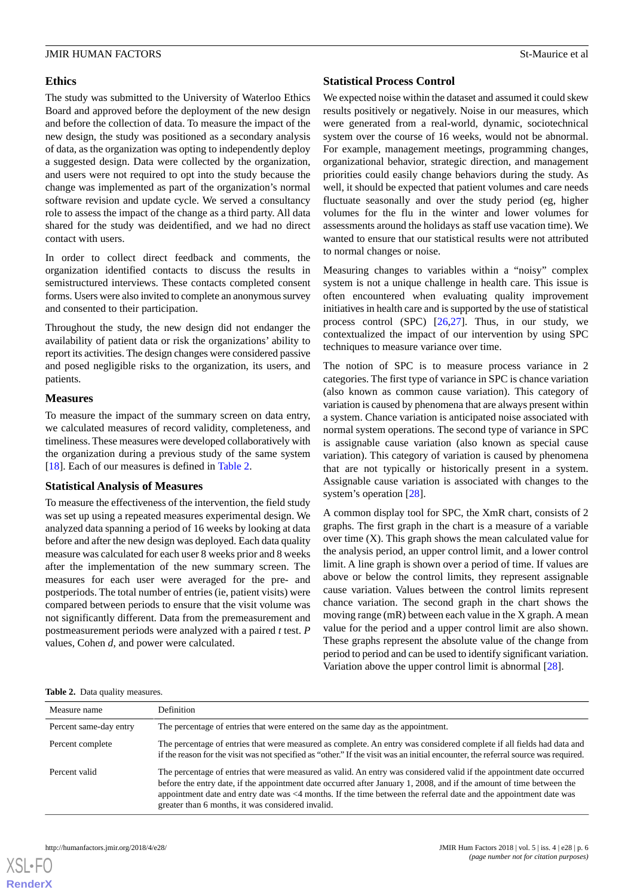#### **Ethics**

The study was submitted to the University of Waterloo Ethics Board and approved before the deployment of the new design and before the collection of data. To measure the impact of the new design, the study was positioned as a secondary analysis of data, as the organization was opting to independently deploy a suggested design. Data were collected by the organization, and users were not required to opt into the study because the change was implemented as part of the organization's normal software revision and update cycle. We served a consultancy role to assess the impact of the change as a third party. All data shared for the study was deidentified, and we had no direct contact with users.

In order to collect direct feedback and comments, the organization identified contacts to discuss the results in semistructured interviews. These contacts completed consent forms. Users were also invited to complete an anonymous survey and consented to their participation.

Throughout the study, the new design did not endanger the availability of patient data or risk the organizations' ability to report its activities. The design changes were considered passive and posed negligible risks to the organization, its users, and patients.

#### **Measures**

To measure the impact of the summary screen on data entry, we calculated measures of record validity, completeness, and timeliness. These measures were developed collaboratively with the organization during a previous study of the same system [[18\]](#page-16-4). Each of our measures is defined in [Table 2](#page-5-0).

#### **Statistical Analysis of Measures**

To measure the effectiveness of the intervention, the field study was set up using a repeated measures experimental design. We analyzed data spanning a period of 16 weeks by looking at data before and after the new design was deployed. Each data quality measure was calculated for each user 8 weeks prior and 8 weeks after the implementation of the new summary screen. The measures for each user were averaged for the pre- and postperiods. The total number of entries (ie, patient visits) were compared between periods to ensure that the visit volume was not significantly different. Data from the premeasurement and postmeasurement periods were analyzed with a paired *t* test. *P* values, Cohen *d*, and power were calculated.

## **Statistical Process Control**

We expected noise within the dataset and assumed it could skew results positively or negatively. Noise in our measures, which were generated from a real-world, dynamic, sociotechnical system over the course of 16 weeks, would not be abnormal. For example, management meetings, programming changes, organizational behavior, strategic direction, and management priorities could easily change behaviors during the study. As well, it should be expected that patient volumes and care needs fluctuate seasonally and over the study period (eg, higher volumes for the flu in the winter and lower volumes for assessments around the holidays as staff use vacation time). We wanted to ensure that our statistical results were not attributed to normal changes or noise.

Measuring changes to variables within a "noisy" complex system is not a unique challenge in health care. This issue is often encountered when evaluating quality improvement initiatives in health care and is supported by the use of statistical process control (SPC) [[26](#page-16-12)[,27](#page-16-13)]. Thus, in our study, we contextualized the impact of our intervention by using SPC techniques to measure variance over time.

The notion of SPC is to measure process variance in 2 categories. The first type of variance in SPC is chance variation (also known as common cause variation). This category of variation is caused by phenomena that are always present within a system. Chance variation is anticipated noise associated with normal system operations. The second type of variance in SPC is assignable cause variation (also known as special cause variation). This category of variation is caused by phenomena that are not typically or historically present in a system. Assignable cause variation is associated with changes to the system's operation [\[28](#page-16-14)].

A common display tool for SPC, the XmR chart, consists of 2 graphs. The first graph in the chart is a measure of a variable over time  $(X)$ . This graph shows the mean calculated value for the analysis period, an upper control limit, and a lower control limit. A line graph is shown over a period of time. If values are above or below the control limits, they represent assignable cause variation. Values between the control limits represent chance variation. The second graph in the chart shows the moving range (mR) between each value in the X graph. A mean value for the period and a upper control limit are also shown. These graphs represent the absolute value of the change from period to period and can be used to identify significant variation. Variation above the upper control limit is abnormal [[28\]](#page-16-14).

<span id="page-5-0"></span>

|  | Table 2. Data quality measures. |
|--|---------------------------------|
|--|---------------------------------|

| Measure name           | <b>Definition</b>                                                                                                                                                                                                                                                                                                                                                                                                       |
|------------------------|-------------------------------------------------------------------------------------------------------------------------------------------------------------------------------------------------------------------------------------------------------------------------------------------------------------------------------------------------------------------------------------------------------------------------|
| Percent same-day entry | The percentage of entries that were entered on the same day as the appointment.                                                                                                                                                                                                                                                                                                                                         |
| Percent complete       | The percentage of entries that were measured as complete. An entry was considered complete if all fields had data and<br>if the reason for the visit was not specified as "other." If the visit was an initial encounter, the referral source was required.                                                                                                                                                             |
| Percent valid          | The percentage of entries that were measured as valid. An entry was considered valid if the appointment date occurred<br>before the entry date, if the appointment date occurred after January 1, 2008, and if the amount of time between the<br>appointment date and entry date was <4 months. If the time between the referral date and the appointment date was<br>greater than 6 months, it was considered invalid. |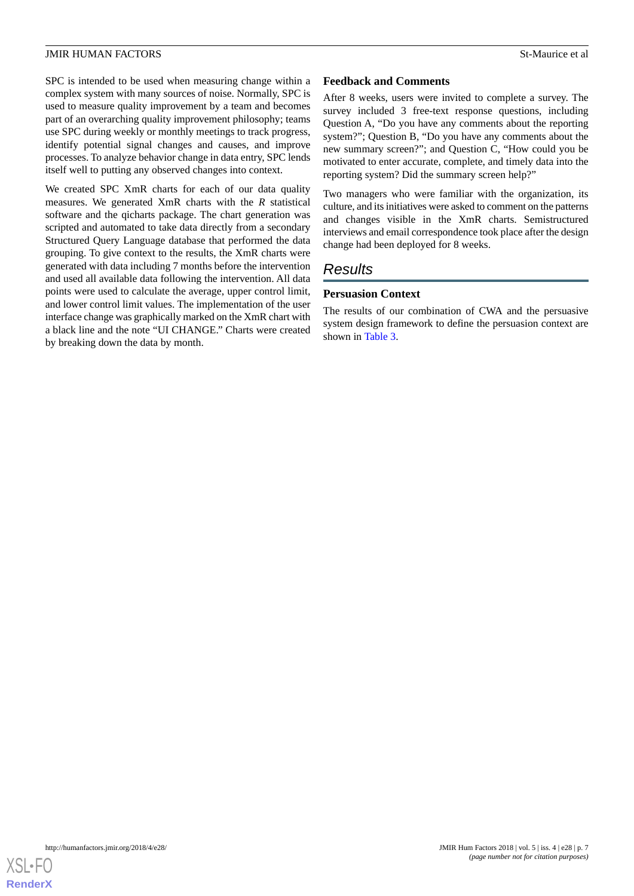SPC is intended to be used when measuring change within a complex system with many sources of noise. Normally, SPC is used to measure quality improvement by a team and becomes part of an overarching quality improvement philosophy; teams use SPC during weekly or monthly meetings to track progress, identify potential signal changes and causes, and improve processes. To analyze behavior change in data entry, SPC lends itself well to putting any observed changes into context.

We created SPC XmR charts for each of our data quality measures. We generated XmR charts with the *R* statistical software and the qicharts package. The chart generation was scripted and automated to take data directly from a secondary Structured Query Language database that performed the data grouping. To give context to the results, the XmR charts were generated with data including 7 months before the intervention and used all available data following the intervention. All data points were used to calculate the average, upper control limit, and lower control limit values. The implementation of the user interface change was graphically marked on the XmR chart with a black line and the note "UI CHANGE." Charts were created by breaking down the data by month.

## **Feedback and Comments**

After 8 weeks, users were invited to complete a survey. The survey included 3 free-text response questions, including Question A, "Do you have any comments about the reporting system?"; Question B, "Do you have any comments about the new summary screen?"; and Question C, "How could you be motivated to enter accurate, complete, and timely data into the reporting system? Did the summary screen help?"

Two managers who were familiar with the organization, its culture, and its initiatives were asked to comment on the patterns and changes visible in the XmR charts. Semistructured interviews and email correspondence took place after the design change had been deployed for 8 weeks.

## *Results*

## **Persuasion Context**

The results of our combination of CWA and the persuasive system design framework to define the persuasion context are shown in [Table 3.](#page-7-0)

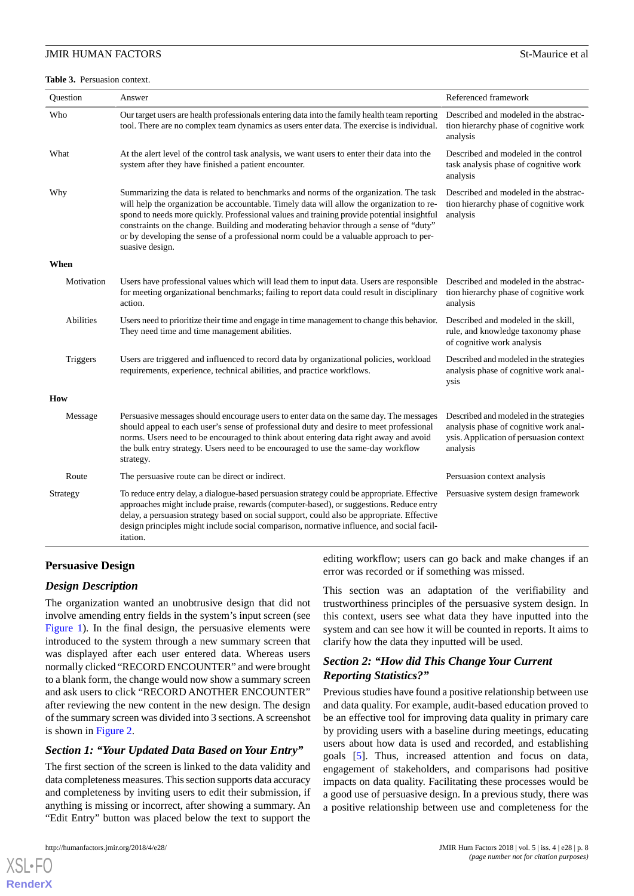#### JMIR HUMAN FACTORS STATES AND THE SECOND SECOND SECOND SECOND SECOND SECOND SECOND SECOND SECOND SECOND SECOND SECOND SECOND SECOND SECOND SECOND SECOND SECOND SECOND SECOND SECOND SECOND SECOND SECOND SECOND SECOND SECOND

<span id="page-7-0"></span>**Table 3.** Persuasion context.

| Question         | Answer                                                                                                                                                                                                                                                                                                                                                                                                                                                                                 | Referenced framework                                                                                                                     |
|------------------|----------------------------------------------------------------------------------------------------------------------------------------------------------------------------------------------------------------------------------------------------------------------------------------------------------------------------------------------------------------------------------------------------------------------------------------------------------------------------------------|------------------------------------------------------------------------------------------------------------------------------------------|
| Who              | Our target users are health professionals entering data into the family health team reporting<br>tool. There are no complex team dynamics as users enter data. The exercise is individual.                                                                                                                                                                                                                                                                                             | Described and modeled in the abstrac-<br>tion hierarchy phase of cognitive work<br>analysis                                              |
| What             | At the alert level of the control task analysis, we want users to enter their data into the<br>system after they have finished a patient encounter.                                                                                                                                                                                                                                                                                                                                    | Described and modeled in the control<br>task analysis phase of cognitive work<br>analysis                                                |
| Why              | Summarizing the data is related to benchmarks and norms of the organization. The task<br>will help the organization be accountable. Timely data will allow the organization to re-<br>spond to needs more quickly. Professional values and training provide potential insightful<br>constraints on the change. Building and moderating behavior through a sense of "duty"<br>or by developing the sense of a professional norm could be a valuable approach to per-<br>suasive design. | Described and modeled in the abstrac-<br>tion hierarchy phase of cognitive work<br>analysis                                              |
| When             |                                                                                                                                                                                                                                                                                                                                                                                                                                                                                        |                                                                                                                                          |
| Motivation       | Users have professional values which will lead them to input data. Users are responsible<br>for meeting organizational benchmarks; failing to report data could result in disciplinary<br>action.                                                                                                                                                                                                                                                                                      | Described and modeled in the abstrac-<br>tion hierarchy phase of cognitive work<br>analysis                                              |
| <b>Abilities</b> | Users need to prioritize their time and engage in time management to change this behavior.<br>They need time and time management abilities.                                                                                                                                                                                                                                                                                                                                            | Described and modeled in the skill,<br>rule, and knowledge taxonomy phase<br>of cognitive work analysis                                  |
| Triggers         | Users are triggered and influenced to record data by organizational policies, workload<br>requirements, experience, technical abilities, and practice workflows.                                                                                                                                                                                                                                                                                                                       | Described and modeled in the strategies<br>analysis phase of cognitive work anal-<br>ysis                                                |
| How              |                                                                                                                                                                                                                                                                                                                                                                                                                                                                                        |                                                                                                                                          |
| Message          | Persuasive messages should encourage users to enter data on the same day. The messages<br>should appeal to each user's sense of professional duty and desire to meet professional<br>norms. Users need to be encouraged to think about entering data right away and avoid<br>the bulk entry strategy. Users need to be encouraged to use the same-day workflow<br>strategy.                                                                                                            | Described and modeled in the strategies<br>analysis phase of cognitive work anal-<br>ysis. Application of persuasion context<br>analysis |
| Route            | The persuasive route can be direct or indirect.                                                                                                                                                                                                                                                                                                                                                                                                                                        | Persuasion context analysis                                                                                                              |
| Strategy         | To reduce entry delay, a dialogue-based persuasion strategy could be appropriate. Effective<br>approaches might include praise, rewards (computer-based), or suggestions. Reduce entry<br>delay, a persuasion strategy based on social support, could also be appropriate. Effective<br>design principles might include social comparison, normative influence, and social facil-<br>itation.                                                                                          | Persuasive system design framework                                                                                                       |

## **Persuasive Design**

#### *Design Description*

The organization wanted an unobtrusive design that did not involve amending entry fields in the system's input screen (see [Figure 1\)](#page-3-0). In the final design, the persuasive elements were introduced to the system through a new summary screen that was displayed after each user entered data. Whereas users normally clicked "RECORD ENCOUNTER" and were brought to a blank form, the change would now show a summary screen and ask users to click "RECORD ANOTHER ENCOUNTER" after reviewing the new content in the new design. The design of the summary screen was divided into 3 sections. A screenshot is shown in [Figure 2.](#page-9-0)

## *Section 1: "Your Updated Data Based on Your Entry"*

The first section of the screen is linked to the data validity and data completeness measures. This section supports data accuracy and completeness by inviting users to edit their submission, if anything is missing or incorrect, after showing a summary. An "Edit Entry" button was placed below the text to support the

[XSL](http://www.w3.org/Style/XSL)•FO **[RenderX](http://www.renderx.com/)**

editing workflow; users can go back and make changes if an error was recorded or if something was missed.

This section was an adaptation of the verifiability and trustworthiness principles of the persuasive system design. In this context, users see what data they have inputted into the system and can see how it will be counted in reports. It aims to clarify how the data they inputted will be used.

## *Section 2: "How did This Change Your Current Reporting Statistics?"*

Previous studies have found a positive relationship between use and data quality. For example, audit-based education proved to be an effective tool for improving data quality in primary care by providing users with a baseline during meetings, educating users about how data is used and recorded, and establishing goals [[5\]](#page-15-4). Thus, increased attention and focus on data, engagement of stakeholders, and comparisons had positive impacts on data quality. Facilitating these processes would be a good use of persuasive design. In a previous study, there was a positive relationship between use and completeness for the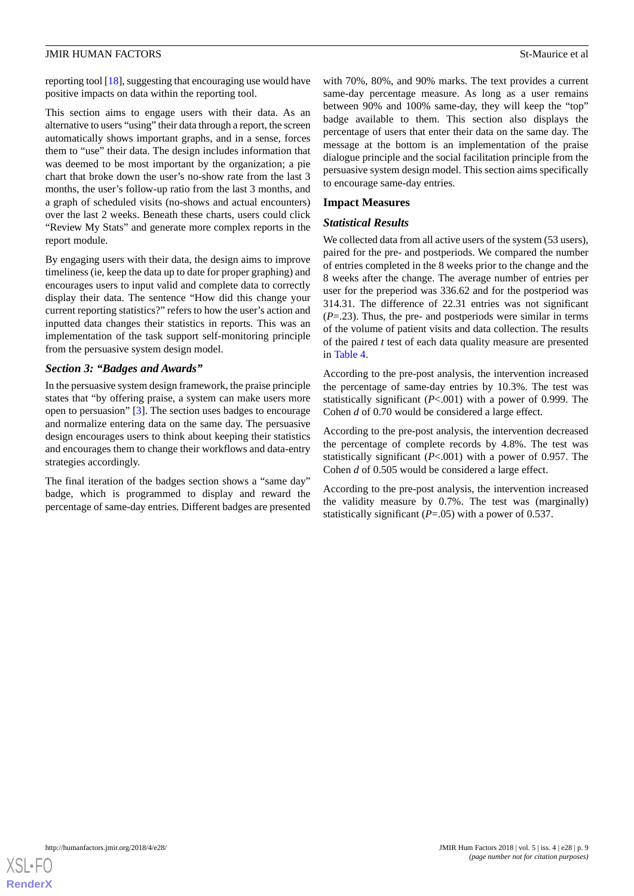reporting tool [[18](#page-16-4)], suggesting that encouraging use would have positive impacts on data within the reporting tool.

This section aims to engage users with their data. As an alternative to users "using" their data through a report, the screen automatically shows important graphs, and in a sense, forces them to "use" their data. The design includes information that was deemed to be most important by the organization; a pie chart that broke down the user's no-show rate from the last 3 months, the user's follow-up ratio from the last 3 months, and a graph of scheduled visits (no-shows and actual encounters) over the last 2 weeks. Beneath these charts, users could click "Review My Stats" and generate more complex reports in the report module.

By engaging users with their data, the design aims to improve timeliness (ie, keep the data up to date for proper graphing) and encourages users to input valid and complete data to correctly display their data. The sentence "How did this change your current reporting statistics?" refers to how the user's action and inputted data changes their statistics in reports. This was an implementation of the task support self-monitoring principle from the persuasive system design model.

#### *Section 3: "Badges and Awards"*

In the persuasive system design framework, the praise principle states that "by offering praise, a system can make users more open to persuasion" [[3\]](#page-15-2). The section uses badges to encourage and normalize entering data on the same day. The persuasive design encourages users to think about keeping their statistics and encourages them to change their workflows and data-entry strategies accordingly.

The final iteration of the badges section shows a "same day" badge, which is programmed to display and reward the percentage of same-day entries. Different badges are presented with 70%, 80%, and 90% marks. The text provides a current same-day percentage measure. As long as a user remains between 90% and 100% same-day, they will keep the "top" badge available to them. This section also displays the percentage of users that enter their data on the same day. The message at the bottom is an implementation of the praise dialogue principle and the social facilitation principle from the persuasive system design model. This section aims specifically to encourage same-day entries.

#### **Impact Measures**

#### *Statistical Results*

We collected data from all active users of the system (53 users), paired for the pre- and postperiods. We compared the number of entries completed in the 8 weeks prior to the change and the 8 weeks after the change. The average number of entries per user for the preperiod was 336.62 and for the postperiod was 314.31. The difference of 22.31 entries was not significant (*P*=.23). Thus, the pre- and postperiods were similar in terms of the volume of patient visits and data collection. The results of the paired *t* test of each data quality measure are presented in [Table 4](#page-10-0).

According to the pre-post analysis, the intervention increased the percentage of same-day entries by 10.3%. The test was statistically significant (*P*<.001) with a power of 0.999. The Cohen *d* of 0.70 would be considered a large effect.

According to the pre-post analysis, the intervention decreased the percentage of complete records by 4.8%. The test was statistically significant (*P*<.001) with a power of 0.957. The Cohen *d* of 0.505 would be considered a large effect.

According to the pre-post analysis, the intervention increased the validity measure by 0.7%. The test was (marginally) statistically significant (*P*=.05) with a power of 0.537.

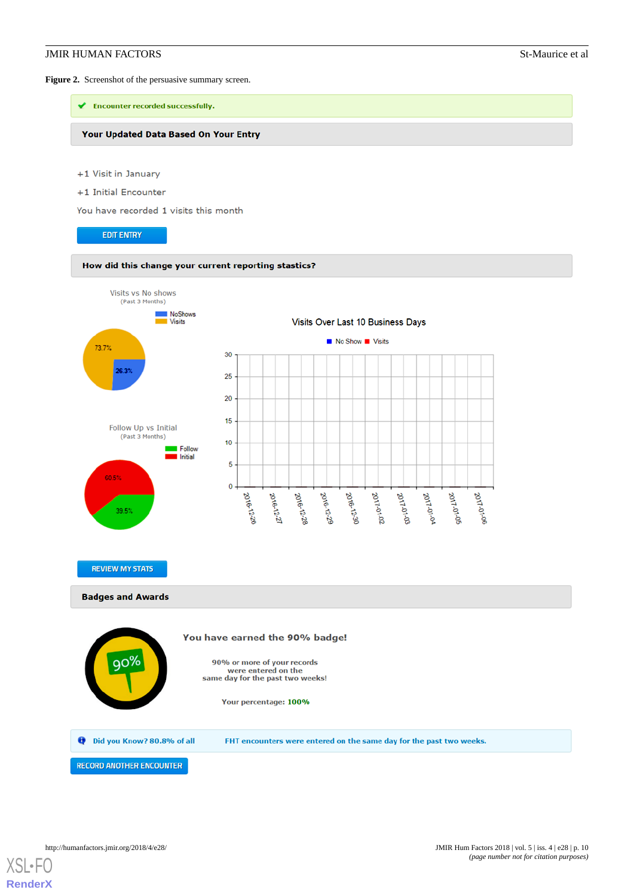#### **JMIR HUMAN FACTORS** St-Maurice et al.

<span id="page-9-0"></span>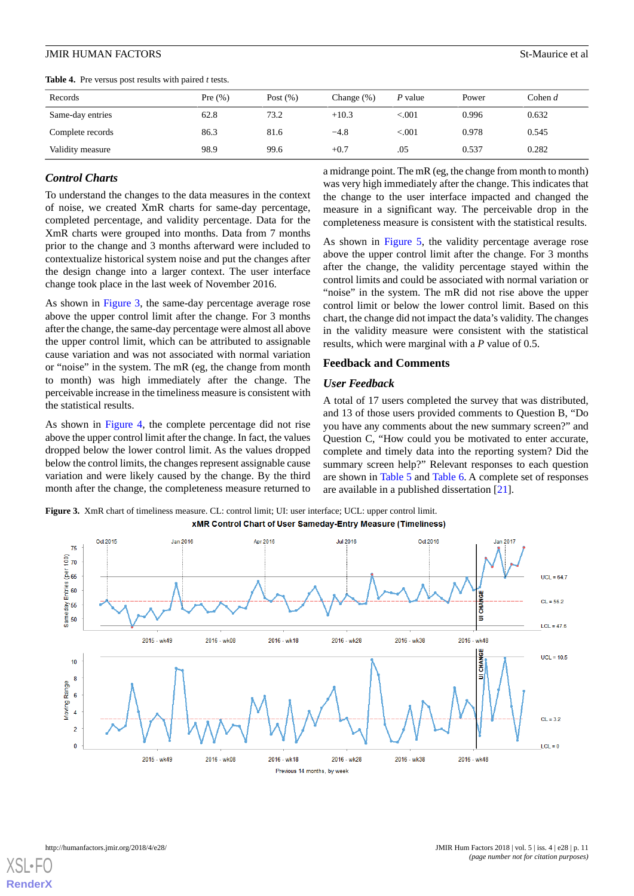<span id="page-10-0"></span>**Table 4.** Pre versus post results with paired *t* tests.

Complete records 86.3 81.6 −4.8 <.001 0.978 0.545 Validity measure **98.9** 99.6 +0.7 0.537 0.282

## *Control Charts*

To understand the changes to the data measures in the context of noise, we created XmR charts for same-day percentage, completed percentage, and validity percentage. Data for the XmR charts were grouped into months. Data from 7 months prior to the change and 3 months afterward were included to contextualize historical system noise and put the changes after the design change into a larger context. The user interface change took place in the last week of November 2016.

As shown in [Figure 3,](#page-10-1) the same-day percentage average rose above the upper control limit after the change. For 3 months after the change, the same-day percentage were almost all above the upper control limit, which can be attributed to assignable cause variation and was not associated with normal variation or "noise" in the system. The mR (eg, the change from month to month) was high immediately after the change. The perceivable increase in the timeliness measure is consistent with the statistical results.

<span id="page-10-1"></span>As shown in [Figure 4,](#page-11-0) the complete percentage did not rise above the upper control limit after the change. In fact, the values dropped below the lower control limit. As the values dropped below the control limits, the changes represent assignable cause variation and were likely caused by the change. By the third month after the change, the completeness measure returned to

a midrange point. The mR (eg, the change from month to month) was very high immediately after the change. This indicates that the change to the user interface impacted and changed the measure in a significant way. The perceivable drop in the completeness measure is consistent with the statistical results.

As shown in [Figure 5](#page-11-1), the validity percentage average rose above the upper control limit after the change. For 3 months after the change, the validity percentage stayed within the control limits and could be associated with normal variation or "noise" in the system. The mR did not rise above the upper control limit or below the lower control limit. Based on this chart, the change did not impact the data's validity. The changes in the validity measure were consistent with the statistical results, which were marginal with a *P* value of 0.5.

#### **Feedback and Comments**

#### *User Feedback*

A total of 17 users completed the survey that was distributed, and 13 of those users provided comments to Question B, "Do you have any comments about the new summary screen?" and Question C, "How could you be motivated to enter accurate, complete and timely data into the reporting system? Did the summary screen help?" Relevant responses to each question are shown in [Table 5](#page-12-0) and [Table 6.](#page-12-1) A complete set of responses are available in a published dissertation [\[21](#page-16-7)].

**Figure 3.** XmR chart of timeliness measure. CL: control limit; UI: user interface; UCL: upper control limit. xMR Control Chart of User Sameday-Entry Measure (Timeliness)

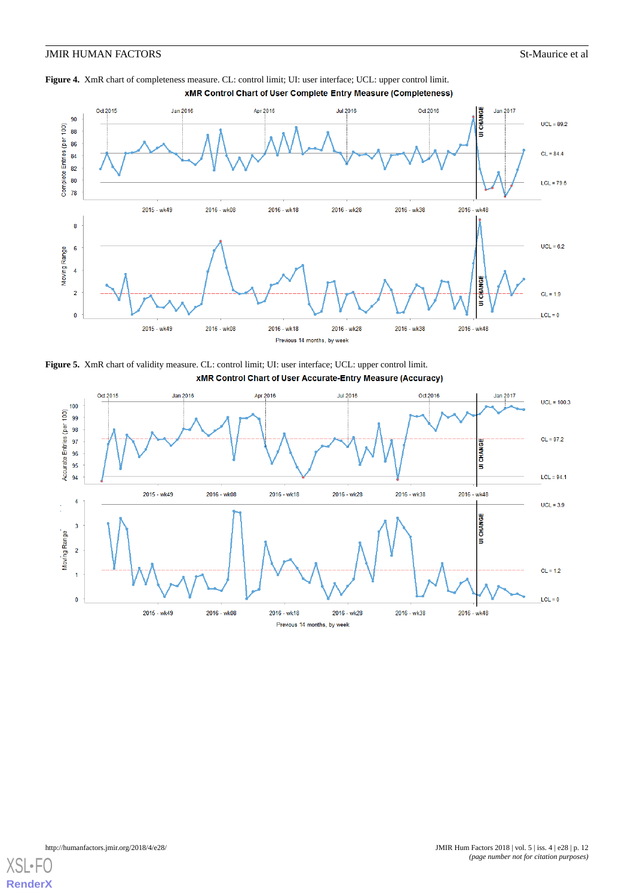## **JMIR HUMAN FACTORS** St-Maurice et al.

<span id="page-11-0"></span>



<span id="page-11-1"></span>**Figure 5.** XmR chart of validity measure. CL: control limit; UI: user interface; UCL: upper control limit.<br>**XMR Control Chart of User Accurate-Entry Measure (Accuracy)** 



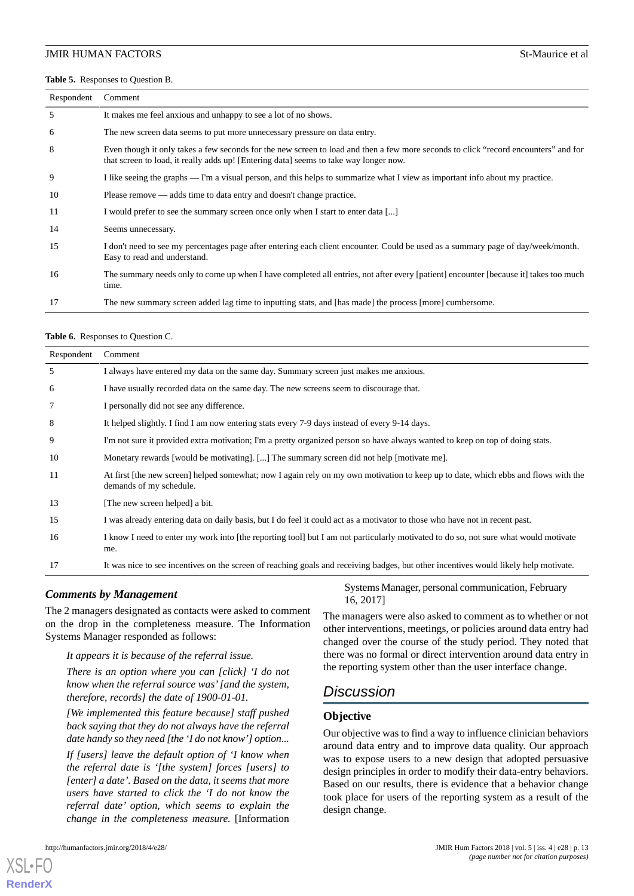#### <span id="page-12-0"></span>**Table 5.** Responses to Question B.

| Respondent | Comment                                                                                                                                                                                                                      |
|------------|------------------------------------------------------------------------------------------------------------------------------------------------------------------------------------------------------------------------------|
| 5          | It makes me feel anxious and unhappy to see a lot of no shows.                                                                                                                                                               |
| 6          | The new screen data seems to put more unnecessary pressure on data entry.                                                                                                                                                    |
| 8          | Even though it only takes a few seconds for the new screen to load and then a few more seconds to click "record encounters" and for<br>that screen to load, it really adds up! [Entering data] seems to take way longer now. |
| 9          | I like seeing the graphs — I'm a visual person, and this helps to summarize what I view as important info about my practice.                                                                                                 |
| 10         | Please remove — adds time to data entry and doesn't change practice.                                                                                                                                                         |
| 11         | I would prefer to see the summary screen once only when I start to enter data []                                                                                                                                             |
| 14         | Seems unnecessary.                                                                                                                                                                                                           |
| 15         | I don't need to see my percentages page after entering each client encounter. Could be used as a summary page of day/week/month.<br>Easy to read and understand.                                                             |
| 16         | The summary needs only to come up when I have completed all entries, not after every [patient] encounter [because it] takes too much<br>time.                                                                                |
| 17         | The new summary screen added lag time to inputting stats, and [has made] the process [more] cumbersome.                                                                                                                      |

#### <span id="page-12-1"></span>**Table 6.** Responses to Question C.

| Respondent | Comment                                                                                                                                                       |
|------------|---------------------------------------------------------------------------------------------------------------------------------------------------------------|
| 5          | I always have entered my data on the same day. Summary screen just makes me anxious.                                                                          |
| 6          | I have usually recorded data on the same day. The new screens seem to discourage that.                                                                        |
| 7          | I personally did not see any difference.                                                                                                                      |
| 8          | It helped slightly. I find I am now entering stats every 7-9 days instead of every 9-14 days.                                                                 |
| 9          | I'm not sure it provided extra motivation; I'm a pretty organized person so have always wanted to keep on top of doing stats.                                 |
| 10         | Monetary rewards [would be motivating]. [] The summary screen did not help [motivate me].                                                                     |
| 11         | At first [the new screen] helped somewhat; now I again rely on my own motivation to keep up to date, which ebbs and flows with the<br>demands of my schedule. |
| 13         | [The new screen helped] a bit.                                                                                                                                |
| 15         | I was already entering data on daily basis, but I do feel it could act as a motivator to those who have not in recent past.                                   |
| 16         | I know I need to enter my work into [the reporting tool] but I am not particularly motivated to do so, not sure what would motivate<br>me.                    |
| 17         | It was nice to see incentives on the screen of reaching goals and receiving badges, but other incentives would likely help motivate.                          |

#### *Comments by Management*

The 2 managers designated as contacts were asked to comment on the drop in the completeness measure. The Information Systems Manager responded as follows:

#### *It appears it is because of the referral issue.*

*There is an option where you can [click] 'I do not know when the referral source was' [and the system, therefore, records] the date of 1900-01-01.*

*[We implemented this feature because] staff pushed back saying that they do not always have the referral date handy so they need [the 'I do not know'] option...*

*If [users] leave the default option of 'I know when the referral date is '[the system] forces [users] to [enter] a date'. Based on the data, it seems that more users have started to click the 'I do not know the referral date' option, which seems to explain the change in the completeness measure.* [Information

[XSL](http://www.w3.org/Style/XSL)•FO **[RenderX](http://www.renderx.com/)**

Systems Manager, personal communication, February 16, 2017]

The managers were also asked to comment as to whether or not other interventions, meetings, or policies around data entry had changed over the course of the study period. They noted that there was no formal or direct intervention around data entry in the reporting system other than the user interface change.

# *Discussion*

#### **Objective**

Our objective was to find a way to influence clinician behaviors around data entry and to improve data quality. Our approach was to expose users to a new design that adopted persuasive design principles in order to modify their data-entry behaviors. Based on our results, there is evidence that a behavior change took place for users of the reporting system as a result of the design change.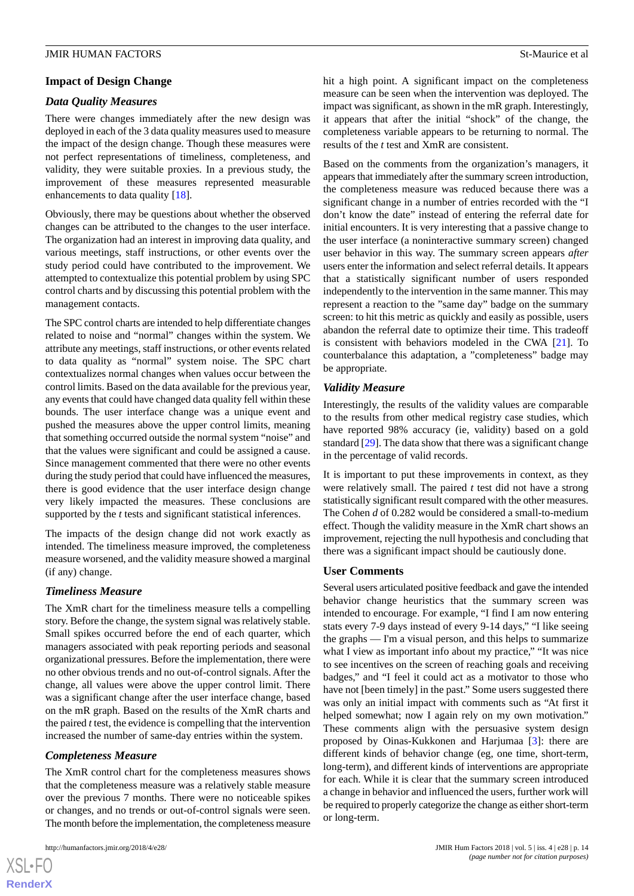## **Impact of Design Change**

## *Data Quality Measures*

There were changes immediately after the new design was deployed in each of the 3 data quality measures used to measure the impact of the design change. Though these measures were not perfect representations of timeliness, completeness, and validity, they were suitable proxies. In a previous study, the improvement of these measures represented measurable enhancements to data quality [[18\]](#page-16-4).

Obviously, there may be questions about whether the observed changes can be attributed to the changes to the user interface. The organization had an interest in improving data quality, and various meetings, staff instructions, or other events over the study period could have contributed to the improvement. We attempted to contextualize this potential problem by using SPC control charts and by discussing this potential problem with the management contacts.

The SPC control charts are intended to help differentiate changes related to noise and "normal" changes within the system. We attribute any meetings, staff instructions, or other events related to data quality as "normal" system noise. The SPC chart contextualizes normal changes when values occur between the control limits. Based on the data available for the previous year, any events that could have changed data quality fell within these bounds. The user interface change was a unique event and pushed the measures above the upper control limits, meaning that something occurred outside the normal system "noise" and that the values were significant and could be assigned a cause. Since management commented that there were no other events during the study period that could have influenced the measures, there is good evidence that the user interface design change very likely impacted the measures. These conclusions are supported by the *t* tests and significant statistical inferences.

The impacts of the design change did not work exactly as intended. The timeliness measure improved, the completeness measure worsened, and the validity measure showed a marginal (if any) change.

## *Timeliness Measure*

The XmR chart for the timeliness measure tells a compelling story. Before the change, the system signal was relatively stable. Small spikes occurred before the end of each quarter, which managers associated with peak reporting periods and seasonal organizational pressures. Before the implementation, there were no other obvious trends and no out-of-control signals. After the change, all values were above the upper control limit. There was a significant change after the user interface change, based on the mR graph. Based on the results of the XmR charts and the paired *t* test, the evidence is compelling that the intervention increased the number of same-day entries within the system.

## *Completeness Measure*

The XmR control chart for the completeness measures shows that the completeness measure was a relatively stable measure over the previous 7 months. There were no noticeable spikes or changes, and no trends or out-of-control signals were seen. The month before the implementation, the completeness measure

hit a high point. A significant impact on the completeness measure can be seen when the intervention was deployed. The impact was significant, as shown in the mR graph. Interestingly, it appears that after the initial "shock" of the change, the completeness variable appears to be returning to normal. The results of the *t* test and XmR are consistent.

Based on the comments from the organization's managers, it appears that immediately after the summary screen introduction, the completeness measure was reduced because there was a significant change in a number of entries recorded with the "I don't know the date" instead of entering the referral date for initial encounters. It is very interesting that a passive change to the user interface (a noninteractive summary screen) changed user behavior in this way. The summary screen appears *after* users enter the information and select referral details. It appears that a statistically significant number of users responded independently to the intervention in the same manner. This may represent a reaction to the "same day" badge on the summary screen: to hit this metric as quickly and easily as possible, users abandon the referral date to optimize their time. This tradeoff is consistent with behaviors modeled in the CWA [\[21](#page-16-7)]. To counterbalance this adaptation, a "completeness" badge may be appropriate.

## *Validity Measure*

Interestingly, the results of the validity values are comparable to the results from other medical registry case studies, which have reported 98% accuracy (ie, validity) based on a gold standard [\[29](#page-16-15)]. The data show that there was a significant change in the percentage of valid records.

It is important to put these improvements in context, as they were relatively small. The paired *t* test did not have a strong statistically significant result compared with the other measures. The Cohen *d* of 0.282 would be considered a small-to-medium effect. Though the validity measure in the XmR chart shows an improvement, rejecting the null hypothesis and concluding that there was a significant impact should be cautiously done.

#### **User Comments**

Several users articulated positive feedback and gave the intended behavior change heuristics that the summary screen was intended to encourage. For example, "I find I am now entering stats every 7-9 days instead of every 9-14 days," "I like seeing the graphs — I'm a visual person, and this helps to summarize what I view as important info about my practice," "It was nice to see incentives on the screen of reaching goals and receiving badges," and "I feel it could act as a motivator to those who have not [been timely] in the past." Some users suggested there was only an initial impact with comments such as "At first it helped somewhat; now I again rely on my own motivation." These comments align with the persuasive system design proposed by Oinas-Kukkonen and Harjumaa [[3\]](#page-15-2): there are different kinds of behavior change (eg, one time, short-term, long-term), and different kinds of interventions are appropriate for each. While it is clear that the summary screen introduced a change in behavior and influenced the users, further work will be required to properly categorize the change as either short-term or long-term.

 $XS$ -FO **[RenderX](http://www.renderx.com/)**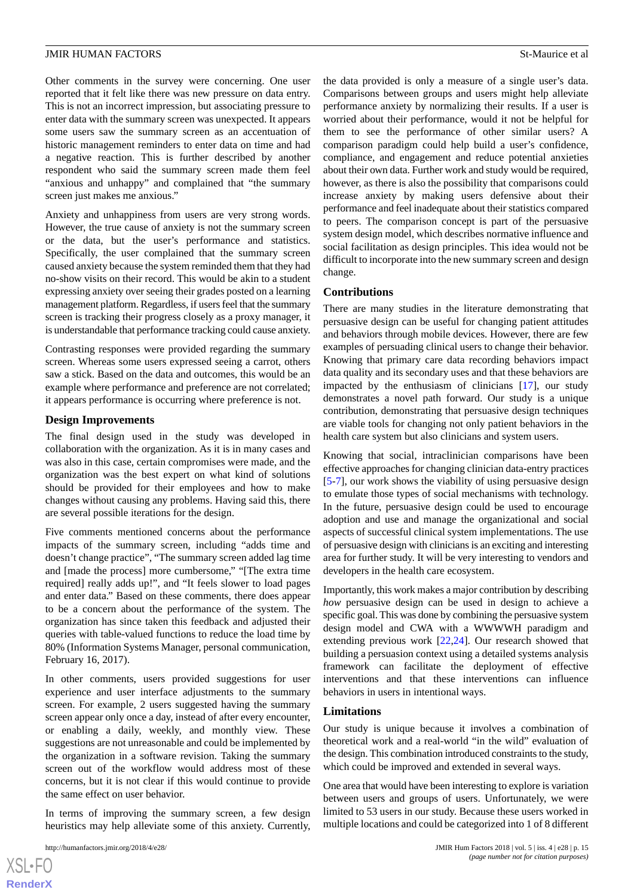Other comments in the survey were concerning. One user reported that it felt like there was new pressure on data entry. This is not an incorrect impression, but associating pressure to enter data with the summary screen was unexpected. It appears some users saw the summary screen as an accentuation of historic management reminders to enter data on time and had a negative reaction. This is further described by another respondent who said the summary screen made them feel "anxious and unhappy" and complained that "the summary screen just makes me anxious."

Anxiety and unhappiness from users are very strong words. However, the true cause of anxiety is not the summary screen or the data, but the user's performance and statistics. Specifically, the user complained that the summary screen caused anxiety because the system reminded them that they had no-show visits on their record. This would be akin to a student expressing anxiety over seeing their grades posted on a learning management platform. Regardless, if users feel that the summary screen is tracking their progress closely as a proxy manager, it is understandable that performance tracking could cause anxiety.

Contrasting responses were provided regarding the summary screen. Whereas some users expressed seeing a carrot, others saw a stick. Based on the data and outcomes, this would be an example where performance and preference are not correlated; it appears performance is occurring where preference is not.

#### **Design Improvements**

The final design used in the study was developed in collaboration with the organization. As it is in many cases and was also in this case, certain compromises were made, and the organization was the best expert on what kind of solutions should be provided for their employees and how to make changes without causing any problems. Having said this, there are several possible iterations for the design.

Five comments mentioned concerns about the performance impacts of the summary screen, including "adds time and doesn't change practice", "The summary screen added lag time and [made the process] more cumbersome," "[The extra time required] really adds up!", and "It feels slower to load pages and enter data." Based on these comments, there does appear to be a concern about the performance of the system. The organization has since taken this feedback and adjusted their queries with table-valued functions to reduce the load time by 80% (Information Systems Manager, personal communication, February 16, 2017).

In other comments, users provided suggestions for user experience and user interface adjustments to the summary screen. For example, 2 users suggested having the summary screen appear only once a day, instead of after every encounter, or enabling a daily, weekly, and monthly view. These suggestions are not unreasonable and could be implemented by the organization in a software revision. Taking the summary screen out of the workflow would address most of these concerns, but it is not clear if this would continue to provide the same effect on user behavior.

In terms of improving the summary screen, a few design heuristics may help alleviate some of this anxiety. Currently,

the data provided is only a measure of a single user's data. Comparisons between groups and users might help alleviate performance anxiety by normalizing their results. If a user is worried about their performance, would it not be helpful for them to see the performance of other similar users? A comparison paradigm could help build a user's confidence, compliance, and engagement and reduce potential anxieties about their own data. Further work and study would be required, however, as there is also the possibility that comparisons could increase anxiety by making users defensive about their performance and feel inadequate about their statistics compared to peers. The comparison concept is part of the persuasive system design model, which describes normative influence and social facilitation as design principles. This idea would not be difficult to incorporate into the new summary screen and design change.

#### **Contributions**

There are many studies in the literature demonstrating that persuasive design can be useful for changing patient attitudes and behaviors through mobile devices. However, there are few examples of persuading clinical users to change their behavior. Knowing that primary care data recording behaviors impact data quality and its secondary uses and that these behaviors are impacted by the enthusiasm of clinicians [[17\]](#page-16-3), our study demonstrates a novel path forward. Our study is a unique contribution, demonstrating that persuasive design techniques are viable tools for changing not only patient behaviors in the health care system but also clinicians and system users.

Knowing that social, intraclinician comparisons have been effective approaches for changing clinician data-entry practices [[5](#page-15-4)[-7](#page-15-6)], our work shows the viability of using persuasive design to emulate those types of social mechanisms with technology. In the future, persuasive design could be used to encourage adoption and use and manage the organizational and social aspects of successful clinical system implementations. The use of persuasive design with clinicians is an exciting and interesting area for further study. It will be very interesting to vendors and developers in the health care ecosystem.

Importantly, this work makes a major contribution by describing *how* persuasive design can be used in design to achieve a specific goal. This was done by combining the persuasive system design model and CWA with a WWWWH paradigm and extending previous work [[22,](#page-16-8)[24\]](#page-16-10). Our research showed that building a persuasion context using a detailed systems analysis framework can facilitate the deployment of effective interventions and that these interventions can influence behaviors in users in intentional ways.

#### **Limitations**

Our study is unique because it involves a combination of theoretical work and a real-world "in the wild" evaluation of the design. This combination introduced constraints to the study, which could be improved and extended in several ways.

One area that would have been interesting to explore is variation between users and groups of users. Unfortunately, we were limited to 53 users in our study. Because these users worked in multiple locations and could be categorized into 1 of 8 different

 $XS$ -FO **[RenderX](http://www.renderx.com/)**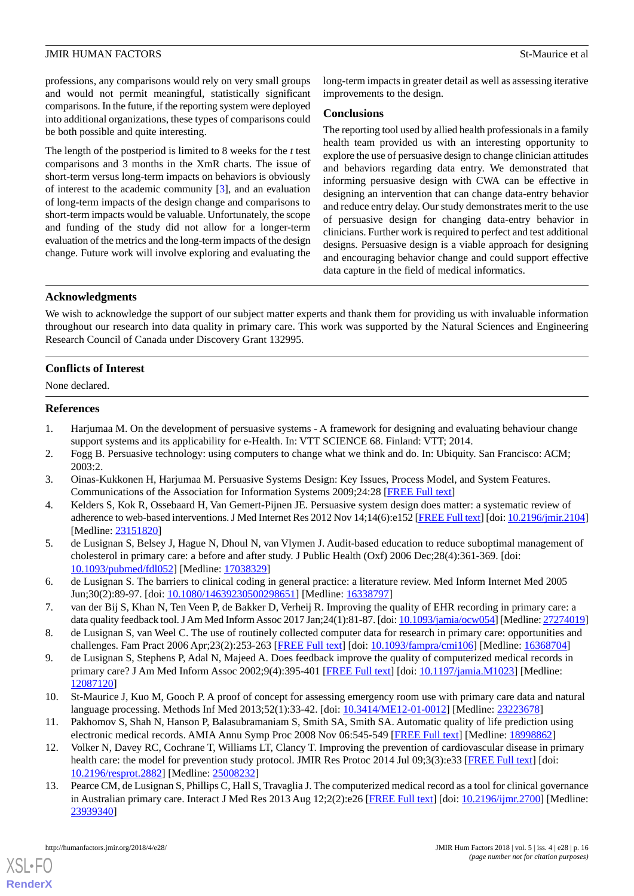professions, any comparisons would rely on very small groups and would not permit meaningful, statistically significant comparisons. In the future, if the reporting system were deployed into additional organizations, these types of comparisons could be both possible and quite interesting.

The length of the postperiod is limited to 8 weeks for the *t* test comparisons and 3 months in the XmR charts. The issue of short-term versus long-term impacts on behaviors is obviously of interest to the academic community [\[3](#page-15-2)], and an evaluation of long-term impacts of the design change and comparisons to short-term impacts would be valuable. Unfortunately, the scope and funding of the study did not allow for a longer-term evaluation of the metrics and the long-term impacts of the design change. Future work will involve exploring and evaluating the long-term impacts in greater detail as well as assessing iterative improvements to the design.

#### **Conclusions**

The reporting tool used by allied health professionals in a family health team provided us with an interesting opportunity to explore the use of persuasive design to change clinician attitudes and behaviors regarding data entry. We demonstrated that informing persuasive design with CWA can be effective in designing an intervention that can change data-entry behavior and reduce entry delay. Our study demonstrates merit to the use of persuasive design for changing data-entry behavior in clinicians. Further work is required to perfect and test additional designs. Persuasive design is a viable approach for designing and encouraging behavior change and could support effective data capture in the field of medical informatics.

## **Acknowledgments**

We wish to acknowledge the support of our subject matter experts and thank them for providing us with invaluable information throughout our research into data quality in primary care. This work was supported by the Natural Sciences and Engineering Research Council of Canada under Discovery Grant 132995.

#### **Conflicts of Interest**

<span id="page-15-0"></span>None declared.

#### <span id="page-15-1"></span>**References**

- <span id="page-15-2"></span>1. Harjumaa M. On the development of persuasive systems - A framework for designing and evaluating behaviour change support systems and its applicability for e-Health. In: VTT SCIENCE 68. Finland: VTT; 2014.
- <span id="page-15-3"></span>2. Fogg B. Persuasive technology: using computers to change what we think and do. In: Ubiquity. San Francisco: ACM; 2003:2.
- <span id="page-15-4"></span>3. Oinas-Kukkonen H, Harjumaa M. Persuasive Systems Design: Key Issues, Process Model, and System Features. Communications of the Association for Information Systems 2009;24:28 [[FREE Full text](https://aisel.aisnet.org/cais/vol24/iss1/28)]
- <span id="page-15-5"></span>4. Kelders S, Kok R, Ossebaard H, Van Gemert-Pijnen JE. Persuasive system design does matter: a systematic review of adherence to web-based interventions. J Med Internet Res 2012 Nov 14;14(6):e152 [\[FREE Full text](http://www.jmir.org/2012/6/e152/)] [doi: [10.2196/jmir.2104\]](http://dx.doi.org/10.2196/jmir.2104) [Medline: [23151820](http://www.ncbi.nlm.nih.gov/entrez/query.fcgi?cmd=Retrieve&db=PubMed&list_uids=23151820&dopt=Abstract)]
- <span id="page-15-6"></span>5. de Lusignan S, Belsey J, Hague N, Dhoul N, van Vlymen J. Audit-based education to reduce suboptimal management of cholesterol in primary care: a before and after study. J Public Health (Oxf) 2006 Dec;28(4):361-369. [doi: [10.1093/pubmed/fdl052\]](http://dx.doi.org/10.1093/pubmed/fdl052) [Medline: [17038329\]](http://www.ncbi.nlm.nih.gov/entrez/query.fcgi?cmd=Retrieve&db=PubMed&list_uids=17038329&dopt=Abstract)
- <span id="page-15-8"></span><span id="page-15-7"></span>6. de Lusignan S. The barriers to clinical coding in general practice: a literature review. Med Inform Internet Med 2005 Jun;30(2):89-97. [doi: [10.1080/14639230500298651\]](http://dx.doi.org/10.1080/14639230500298651) [Medline: [16338797](http://www.ncbi.nlm.nih.gov/entrez/query.fcgi?cmd=Retrieve&db=PubMed&list_uids=16338797&dopt=Abstract)]
- 7. van der Bij S, Khan N, Ten Veen P, de Bakker D, Verheij R. Improving the quality of EHR recording in primary care: a data quality feedback tool. J Am Med Inform Assoc 2017 Jan;24(1):81-87. [doi: [10.1093/jamia/ocw054\]](http://dx.doi.org/10.1093/jamia/ocw054) [Medline: [27274019\]](http://www.ncbi.nlm.nih.gov/entrez/query.fcgi?cmd=Retrieve&db=PubMed&list_uids=27274019&dopt=Abstract)
- <span id="page-15-9"></span>8. de Lusignan S, van Weel C. The use of routinely collected computer data for research in primary care: opportunities and challenges. Fam Pract 2006 Apr;23(2):253-263 [[FREE Full text](http://fampra.oxfordjournals.org/cgi/pmidlookup?view=long&pmid=16368704)] [doi: [10.1093/fampra/cmi106\]](http://dx.doi.org/10.1093/fampra/cmi106) [Medline: [16368704](http://www.ncbi.nlm.nih.gov/entrez/query.fcgi?cmd=Retrieve&db=PubMed&list_uids=16368704&dopt=Abstract)]
- 9. de Lusignan S, Stephens P, Adal N, Majeed A. Does feedback improve the quality of computerized medical records in primary care? J Am Med Inform Assoc 2002;9(4):395-401 [\[FREE Full text\]](http://europepmc.org/abstract/MED/12087120) [doi: [10.1197/jamia.M1023](http://dx.doi.org/10.1197/jamia.M1023)] [Medline: [12087120](http://www.ncbi.nlm.nih.gov/entrez/query.fcgi?cmd=Retrieve&db=PubMed&list_uids=12087120&dopt=Abstract)]
- <span id="page-15-10"></span>10. St-Maurice J, Kuo M, Gooch P. A proof of concept for assessing emergency room use with primary care data and natural language processing. Methods Inf Med 2013;52(1):33-42. [doi: [10.3414/ME12-01-0012](http://dx.doi.org/10.3414/ME12-01-0012)] [Medline: [23223678](http://www.ncbi.nlm.nih.gov/entrez/query.fcgi?cmd=Retrieve&db=PubMed&list_uids=23223678&dopt=Abstract)]
- 11. Pakhomov S, Shah N, Hanson P, Balasubramaniam S, Smith SA, Smith SA. Automatic quality of life prediction using electronic medical records. AMIA Annu Symp Proc 2008 Nov 06:545-549 [\[FREE Full text\]](http://europepmc.org/abstract/MED/18998862) [Medline: [18998862\]](http://www.ncbi.nlm.nih.gov/entrez/query.fcgi?cmd=Retrieve&db=PubMed&list_uids=18998862&dopt=Abstract)
- 12. Volker N, Davey RC, Cochrane T, Williams LT, Clancy T. Improving the prevention of cardiovascular disease in primary health care: the model for prevention study protocol. JMIR Res Protoc 2014 Jul 09;3(3):e33 [[FREE Full text](http://www.researchprotocols.org/2014/3/e33/)] [doi: [10.2196/resprot.2882](http://dx.doi.org/10.2196/resprot.2882)] [Medline: [25008232\]](http://www.ncbi.nlm.nih.gov/entrez/query.fcgi?cmd=Retrieve&db=PubMed&list_uids=25008232&dopt=Abstract)
- 13. Pearce CM, de Lusignan S, Phillips C, Hall S, Travaglia J. The computerized medical record as a tool for clinical governance in Australian primary care. Interact J Med Res 2013 Aug 12;2(2):e26 [[FREE Full text\]](http://www.i-jmr.org/2013/2/e26/) [doi: [10.2196/ijmr.2700\]](http://dx.doi.org/10.2196/ijmr.2700) [Medline: [23939340](http://www.ncbi.nlm.nih.gov/entrez/query.fcgi?cmd=Retrieve&db=PubMed&list_uids=23939340&dopt=Abstract)]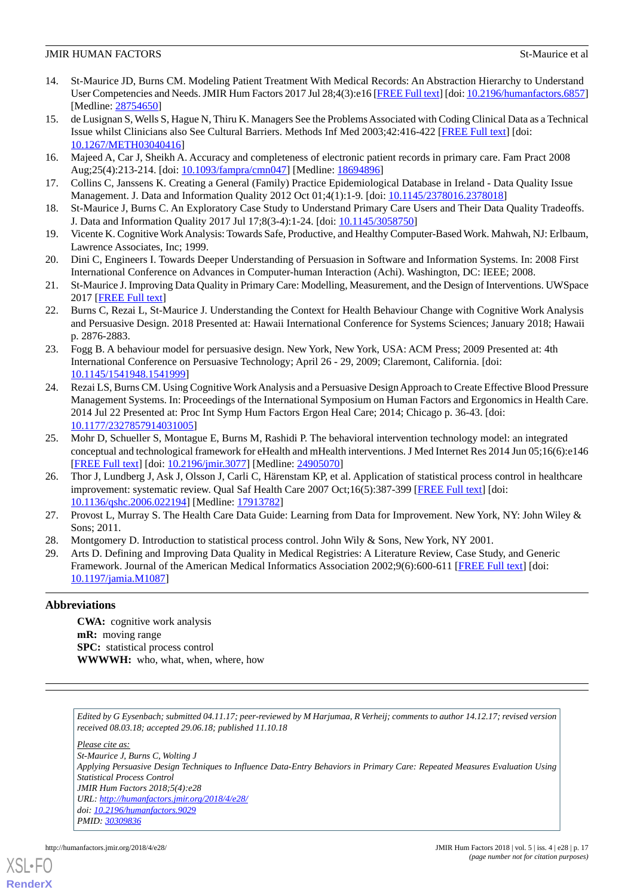#### **JMIR HUMAN FACTORS** Stemming the stemming of the stemming stemming of the stemming stemming stemming stemming stemming of all the stemming stemming stemming stemming stemming stemming stemming stemming stemming stemming s

- <span id="page-16-0"></span>14. St-Maurice JD, Burns CM. Modeling Patient Treatment With Medical Records: An Abstraction Hierarchy to Understand User Competencies and Needs. JMIR Hum Factors 2017 Jul 28;4(3):e16 [\[FREE Full text\]](http://humanfactors.jmir.org/2017/3/e16/) [doi: [10.2196/humanfactors.6857](http://dx.doi.org/10.2196/humanfactors.6857)] [Medline: [28754650](http://www.ncbi.nlm.nih.gov/entrez/query.fcgi?cmd=Retrieve&db=PubMed&list_uids=28754650&dopt=Abstract)]
- <span id="page-16-1"></span>15. de Lusignan S, Wells S, Hague N, Thiru K. Managers See the Problems Associated with Coding Clinical Data as a Technical Issue whilst Clinicians also See Cultural Barriers. Methods Inf Med 2003;42:416-422 [[FREE Full text](http://epubs.surrey.ac.uk/188602/)] [doi: [10.1267/METH03040416](http://dx.doi.org/10.1267/METH03040416)]
- <span id="page-16-3"></span><span id="page-16-2"></span>16. Majeed A, Car J, Sheikh A. Accuracy and completeness of electronic patient records in primary care. Fam Pract 2008 Aug;25(4):213-214. [doi: [10.1093/fampra/cmn047](http://dx.doi.org/10.1093/fampra/cmn047)] [Medline: [18694896\]](http://www.ncbi.nlm.nih.gov/entrez/query.fcgi?cmd=Retrieve&db=PubMed&list_uids=18694896&dopt=Abstract)
- <span id="page-16-4"></span>17. Collins C, Janssens K. Creating a General (Family) Practice Epidemiological Database in Ireland - Data Quality Issue Management. J. Data and Information Quality 2012 Oct 01;4(1):1-9. [doi: [10.1145/2378016.2378018\]](http://dx.doi.org/10.1145/2378016.2378018)
- <span id="page-16-5"></span>18. St-Maurice J, Burns C. An Exploratory Case Study to Understand Primary Care Users and Their Data Quality Tradeoffs. J. Data and Information Quality 2017 Jul 17;8(3-4):1-24. [doi: [10.1145/3058750\]](http://dx.doi.org/10.1145/3058750)
- <span id="page-16-6"></span>19. Vicente K. Cognitive Work Analysis: Towards Safe, Productive, and Healthy Computer-Based Work. Mahwah, NJ: Erlbaum, Lawrence Associates, Inc; 1999.
- <span id="page-16-7"></span>20. Dini C, Engineers I. Towards Deeper Understanding of Persuasion in Software and Information Systems. In: 2008 First International Conference on Advances in Computer-human Interaction (Achi). Washington, DC: IEEE; 2008.
- <span id="page-16-8"></span>21. St-Maurice J. Improving Data Quality in Primary Care: Modelling, Measurement, and the Design of Interventions. UWSpace 2017 [\[FREE Full text\]](http://hdl.handle.net/10012/11726)
- <span id="page-16-9"></span>22. Burns C, Rezai L, St-Maurice J. Understanding the Context for Health Behaviour Change with Cognitive Work Analysis and Persuasive Design. 2018 Presented at: Hawaii International Conference for Systems Sciences; January 2018; Hawaii p. 2876-2883.
- <span id="page-16-10"></span>23. Fogg B. A behaviour model for persuasive design. New York, New York, USA: ACM Press; 2009 Presented at: 4th International Conference on Persuasive Technology; April 26 - 29, 2009; Claremont, California. [doi: [10.1145/1541948.1541999](http://dx.doi.org/10.1145/1541948.1541999)]
- <span id="page-16-11"></span>24. Rezai LS, Burns CM. Using Cognitive Work Analysis and a Persuasive Design Approach to Create Effective Blood Pressure Management Systems. In: Proceedings of the International Symposium on Human Factors and Ergonomics in Health Care. 2014 Jul 22 Presented at: Proc Int Symp Hum Factors Ergon Heal Care; 2014; Chicago p. 36-43. [doi: [10.1177/2327857914031005\]](http://dx.doi.org/10.1177/2327857914031005)
- <span id="page-16-12"></span>25. Mohr D, Schueller S, Montague E, Burns M, Rashidi P. The behavioral intervention technology model: an integrated conceptual and technological framework for eHealth and mHealth interventions. J Med Internet Res 2014 Jun 05;16(6):e146 [[FREE Full text](http://www.jmir.org/2014/6/e146/)] [doi: [10.2196/jmir.3077](http://dx.doi.org/10.2196/jmir.3077)] [Medline: [24905070](http://www.ncbi.nlm.nih.gov/entrez/query.fcgi?cmd=Retrieve&db=PubMed&list_uids=24905070&dopt=Abstract)]
- <span id="page-16-14"></span><span id="page-16-13"></span>26. Thor J, Lundberg J, Ask J, Olsson J, Carli C, Härenstam KP, et al. Application of statistical process control in healthcare improvement: systematic review. Qual Saf Health Care 2007 Oct;16(5):387-399 [\[FREE Full text\]](http://europepmc.org/abstract/MED/17913782) [doi: [10.1136/qshc.2006.022194](http://dx.doi.org/10.1136/qshc.2006.022194)] [Medline: [17913782\]](http://www.ncbi.nlm.nih.gov/entrez/query.fcgi?cmd=Retrieve&db=PubMed&list_uids=17913782&dopt=Abstract)
- <span id="page-16-15"></span>27. Provost L, Murray S. The Health Care Data Guide: Learning from Data for Improvement. New York, NY: John Wiley & Sons; 2011.
- 28. Montgomery D. Introduction to statistical process control. John Wily & Sons, New York, NY 2001.
- 29. Arts D. Defining and Improving Data Quality in Medical Registries: A Literature Review, Case Study, and Generic Framework. Journal of the American Medical Informatics Association 2002;9(6):600-611 [[FREE Full text\]](https://academic.oup.com/jamia/article/9/6/600/1036696) [doi: [10.1197/jamia.M1087](http://dx.doi.org/10.1197/jamia.M1087)]

## **Abbreviations**

**CWA:** cognitive work analysis **mR:** moving range **SPC:** statistical process control **WWWWH:** who, what, when, where, how

*Edited by G Eysenbach; submitted 04.11.17; peer-reviewed by M Harjumaa, R Verheij; comments to author 14.12.17; revised version received 08.03.18; accepted 29.06.18; published 11.10.18*

*Please cite as:*

*St-Maurice J, Burns C, Wolting J Applying Persuasive Design Techniques to Influence Data-Entry Behaviors in Primary Care: Repeated Measures Evaluation Using Statistical Process Control JMIR Hum Factors 2018;5(4):e28 URL: <http://humanfactors.jmir.org/2018/4/e28/> doi: [10.2196/humanfactors.9029](http://dx.doi.org/10.2196/humanfactors.9029) PMID: [30309836](http://www.ncbi.nlm.nih.gov/entrez/query.fcgi?cmd=Retrieve&db=PubMed&list_uids=30309836&dopt=Abstract)*